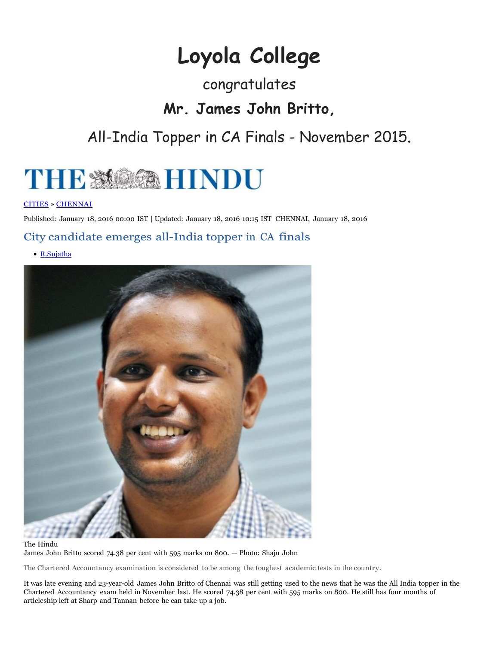# **Loyola College**

### congratulates

### **Mr. James John Britto,**

## All-India Topper in CA Finals - November 2015.



#### CITIES » CHENNAI

Published: January 18, 2016 00:00 IST | Updated: January 18, 2016 10:15 IST CHENNAI, January 18, 2016

#### City candidate emerges all-India topper in CA finals

R.Sujatha



#### The Hindu James John Britto scored 74.38 per cent with 595 marks on 800. — Photo: Shaju John

The Chartered Accountancy examination is considered to be among the toughest academic tests in the country.

It was late evening and 23-year-old James John Britto of Chennai was still getting used to the news that he was the All India topper in the Chartered Accountancy exam held in November last. He scored 74.38 per cent with 595 marks on 800. He still has four months of articleship left at Sharp and Tannan before he can take up a job.